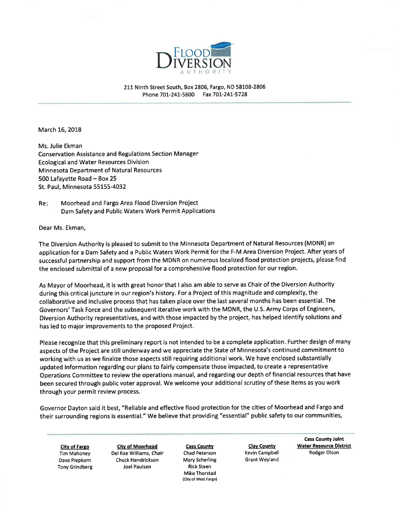

211 Ninth Street South, Box 2806, Fargo, ND 58108-2806 Phone 701-241-5600 Fax 701-241-5728

March 16, 2018

Ms. Julie Ekman Conservation Assistance and Regulations Section Manager **Ecological and Water Resources Division Minnesota Department of Natural Resources** 500 Lafayette Road - Box 25 St. Paul, Minnesota 55155-4032

Re: Moorhead and Fargo Area Flood Diversion Project Dam Safety and Public Waters Work Permit Applications

Dear Ms. Ekman,

The Diversion Authority is pleased to submit to the Minnesota Department of Natural Resources (MDNR) an application for a Dam Safety and a Public Waters Work Permit for the F-M Area Diversion Project. After years of successful partnership and support from the MDNR on numerous localized flood protection projects, please find the enclosed submittal of a new proposal for a comprehensive flood protection for our region.

As Mayor of Moorhead, it is with great honor that I also am able to serve as Chair of the Diversion Authority during this critical juncture in our region's history. For a Project of this magnitude and complexity, the collaborative and inclusive process that has taken place over the last several months has been essential. The Governors' Task Force and the subsequent iterative work with the MDNR, the U.S. Army Corps of Engineers, Diversion Authority representatives, and with those impacted by the project, has helped identify solutions and has led to major improvements to the proposed Project.

Please recognize that this preliminary report is not intended to be a complete application. Further design of many aspects of the Project are still underway and we appreciate the State of Minnesota's continued commitment to working with us as we finalize those aspects still requiring additional work. We have enclosed substantially updated information regarding our plans to fairly compensate those impacted, to create a representative Operations Committee to review the operations manual, and regarding our depth of financial resources that have been secured through public voter approval. We welcome your additional scrutiny of these items as you work through your permit review process.

Governor Dayton said it best, "Reliable and effective flood protection for the cities of Moorhead and Fargo and their surrounding regions is essential." We believe that providing "essential" public safety to our communities,

**City of Fargo** Tim Mahoney Dave Piepkorn **Tony Grindberg** 

**City of Moorhead** Del Rae Williams, Chair **Chuck Hendrickson Joel Paulsen** 

**Cass County** Chad Peterson Mary Scherling **Rick Steen Mike Thorstad** (City of West Fargo)

**Clay County** Kevin Campbell Grant Weyland

**Cass County Joint Water Resource District** Rodger Olson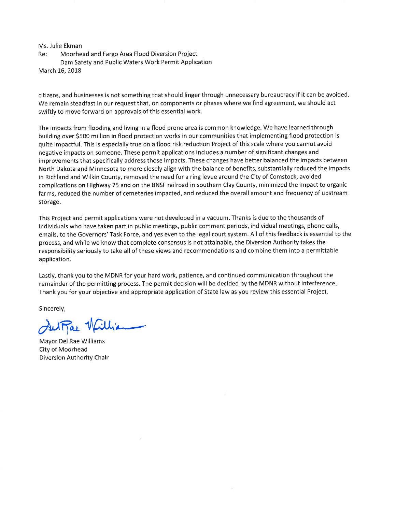Ms. Julie Ekman Moorhead and Fargo Area Flood Diversion Project Re: Dam Safety and Public Waters Work Permit Application March 16, 2018

citizens, and businesses is not something that should linger through unnecessary bureaucracy if it can be avoided. We remain steadfast in our request that, on components or phases where we find agreement, we should act swiftly to move forward on approvals of this essential work.

The impacts from flooding and living in a flood prone area is common knowledge. We have learned through building over \$500 million in flood protection works in our communities that implementing flood protection is quite impactful. This is especially true on a flood risk reduction Project of this scale where you cannot avoid negative impacts on someone. These permit applications includes a number of significant changes and improvements that specifically address those impacts. These changes have better balanced the impacts between North Dakota and Minnesota to more closely align with the balance of benefits, substantially reduced the impacts in Richland and Wilkin County, removed the need for a ring levee around the City of Comstock, avoided complications on Highway 75 and on the BNSF railroad in southern Clay County, minimized the impact to organic farms, reduced the number of cemeteries impacted, and reduced the overall amount and frequency of upstream storage.

This Project and permit applications were not developed in a vacuum. Thanks is due to the thousands of individuals who have taken part in public meetings, public comment periods, individual meetings, phone calls, emails, to the Governors' Task Force, and yes even to the legal court system. All of this feedback is essential to the process, and while we know that complete consensus is not attainable, the Diversion Authority takes the responsibility seriously to take all of these views and recommendations and combine them into a permittable application.

Lastly, thank you to the MDNR for your hard work, patience, and continued communication throughout the remainder of the permitting process. The permit decision will be decided by the MDNR without interference. Thank you for your objective and appropriate application of State law as you review this essential Project.

Sincerely,

SulPar Willia

Mayor Del Rae Williams City of Moorhead Diversion Authority Chair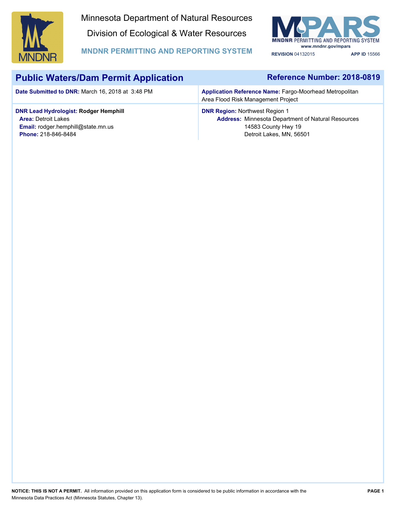

Minnesota Department of Natural Resources Division of Ecological & Water Resources



**MNDNR PERMITTING AND REPORTING SYSTEM REVISION** 04132015 **APP ID** 15566

# **Public Waters/Dam Permit Application**

**Date Submitted to DNR:** March 16, 2018 at 3:48 PM

## **Reference Number: 2018-0819**

**Application Reference Name:** Fargo-Moorhead Metropolitan Area Flood Risk Management Project

### **DNR Lead Hydrologist: Rodger Hemphill DNR Region:** Northwest Region 1

**Area:** Detroit Lakes **Email:** rodger.hemphill@state.mn.us **Phone:** 218-846-8484

## **Address:** Minnesota Department of Natural Resources 14583 County Hwy 19 Detroit Lakes, MN, 56501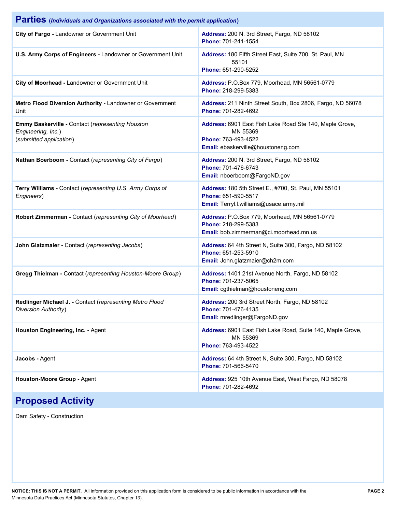| Parties (Individuals and Organizations associated with the permit application)                    |                                                                                                                                  |  |  |
|---------------------------------------------------------------------------------------------------|----------------------------------------------------------------------------------------------------------------------------------|--|--|
| City of Fargo - Landowner or Government Unit                                                      | Address: 200 N. 3rd Street, Fargo, ND 58102<br>Phone: 701-241-1554                                                               |  |  |
| U.S. Army Corps of Engineers - Landowner or Government Unit                                       | Address: 180 Fifth Street East, Suite 700, St. Paul, MN<br>55101<br>Phone: 651-290-5252                                          |  |  |
| City of Moorhead - Landowner or Government Unit                                                   | Address: P.O.Box 779, Moorhead, MN 56561-0779<br>Phone: 218-299-5383                                                             |  |  |
| Metro Flood Diversion Authority - Landowner or Government<br>Unit                                 | Address: 211 Ninth Street South, Box 2806, Fargo, ND 56078<br>Phone: 701-282-4692                                                |  |  |
| Emmy Baskerville - Contact (representing Houston<br>Engineering, Inc.)<br>(submitted application) | Address: 6901 East Fish Lake Road Ste 140, Maple Grove,<br>MN 55369<br>Phone: 763-493-4522<br>Email: ebaskerville@houstoneng.com |  |  |
| Nathan Boerboom - Contact (representing City of Fargo)                                            | Address: 200 N. 3rd Street, Fargo, ND 58102<br>Phone: 701-476-6743<br>Email: nboerboom@FargoND.gov                               |  |  |
| Terry Williams - Contact (representing U.S. Army Corps of<br>Engineers)                           | Address: 180 5th Street E., #700, St. Paul, MN 55101<br>Phone: 651-590-5517<br>Email: Terryl.l.williams@usace.army.mil           |  |  |
| Robert Zimmerman - Contact (representing City of Moorhead)                                        | Address: P.O.Box 779, Moorhead, MN 56561-0779<br>Phone: 218-299-5383<br>Email: bob.zimmerman@ci.moorhead.mn.us                   |  |  |
| John Glatzmaier - Contact (representing Jacobs)                                                   | Address: 64 4th Street N, Suite 300, Fargo, ND 58102<br>Phone: 651-253-5910<br>Email: John.glatzmaier@ch2m.com                   |  |  |
| Gregg Thielman - Contact (representing Houston-Moore Group)                                       | Address: 1401 21st Avenue North, Fargo, ND 58102<br>Phone: 701-237-5065<br>Email: cgthielman@houstoneng.com                      |  |  |
| Redlinger Michael J. - Contact (representing Metro Flood<br>Diversion Authority)                  | Address: 200 3rd Street North, Fargo, ND 58102<br>Phone: 701-476-4135<br>Email: mredlinger@FargoND.gov                           |  |  |
| Houston Engineering, Inc. - Agent                                                                 | Address: 6901 East Fish Lake Road, Suite 140, Maple Grove,<br>MN 55369<br>Phone: 763-493-4522                                    |  |  |
| Jacobs - Agent                                                                                    | Address: 64 4th Street N, Suite 300, Fargo, ND 58102<br>Phone: 701-566-5470                                                      |  |  |
| Houston-Moore Group - Agent                                                                       | Address: 925 10th Avenue East, West Fargo, ND 58078<br>Phone: 701-282-4692                                                       |  |  |

# **Proposed Activity**

Dam Safety - Construction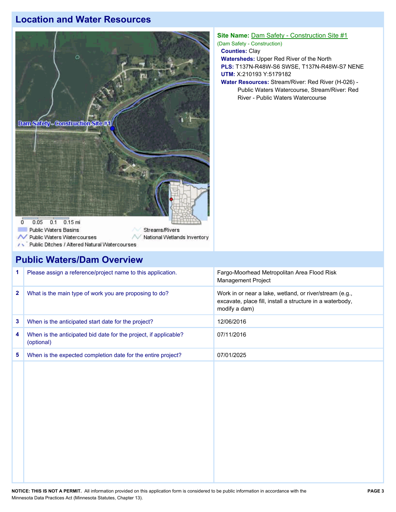## **Location and Water Resources**



#### **Site Name:** Dam Safety - Construction Site #1

(Dam Safety - Construction)

**Counties:** Clay

**Watersheds:** Upper Red River of the North **PLS:** T137N-R48W-S6 SWSE, T137N-R48W-S7 NENE **UTM:** X:210193 Y:5179182

**Water Resources:** Stream/River: Red River (H-026) - Public Waters Watercourse, Stream/River: Red River - Public Waters Watercourse

| <b>Public Waters/Dam Overview</b> |  |  |  |  |  |
|-----------------------------------|--|--|--|--|--|
|-----------------------------------|--|--|--|--|--|

Public Ditches / Altered Natural Watercourses

 $\alpha$ 

| 1.           | Please assign a reference/project name to this application.                    | Fargo-Moorhead Metropolitan Area Flood Risk<br>Management Project                                                                     |
|--------------|--------------------------------------------------------------------------------|---------------------------------------------------------------------------------------------------------------------------------------|
| $\mathbf{2}$ | What is the main type of work you are proposing to do?                         | Work in or near a lake, wetland, or river/stream (e.g.,<br>excavate, place fill, install a structure in a waterbody,<br>modify a dam) |
| 3            | When is the anticipated start date for the project?                            | 12/06/2016                                                                                                                            |
| 4            | When is the anticipated bid date for the project, if applicable?<br>(optional) | 07/11/2016                                                                                                                            |
| 5            | When is the expected completion date for the entire project?                   | 07/01/2025                                                                                                                            |
|              |                                                                                |                                                                                                                                       |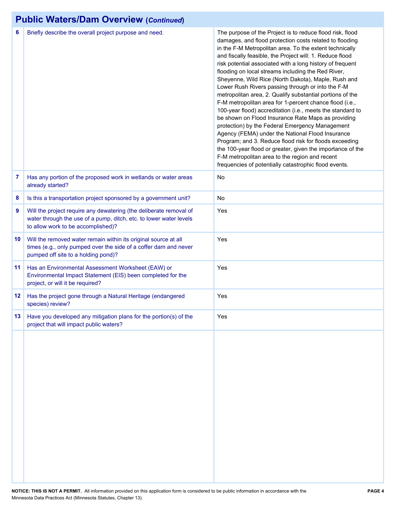# **Public Waters/Dam Overview (***Continued***)**

| 6   | Briefly describe the overall project purpose and need.                                                                                                                         | The purpose of the Project is to reduce flood risk, flood<br>damages, and flood protection costs related to flooding<br>in the F-M Metropolitan area. To the extent technically<br>and fiscally feasible, the Project will: 1. Reduce flood<br>risk potential associated with a long history of frequent<br>flooding on local streams including the Red River,<br>Sheyenne, Wild Rice (North Dakota), Maple, Rush and<br>Lower Rush Rivers passing through or into the F-M<br>metropolitan area, 2. Qualify substantial portions of the<br>F-M metropolitan area for 1-percent chance flood (i.e.,<br>100-year flood) accreditation (i.e., meets the standard to<br>be shown on Flood Insurance Rate Maps as providing<br>protection) by the Federal Emergency Management<br>Agency (FEMA) under the National Flood Insurance<br>Program; and 3. Reduce flood risk for floods exceeding<br>the 100-year flood or greater, given the importance of the<br>F-M metropolitan area to the region and recent<br>frequencies of potentially catastrophic flood events. |
|-----|--------------------------------------------------------------------------------------------------------------------------------------------------------------------------------|------------------------------------------------------------------------------------------------------------------------------------------------------------------------------------------------------------------------------------------------------------------------------------------------------------------------------------------------------------------------------------------------------------------------------------------------------------------------------------------------------------------------------------------------------------------------------------------------------------------------------------------------------------------------------------------------------------------------------------------------------------------------------------------------------------------------------------------------------------------------------------------------------------------------------------------------------------------------------------------------------------------------------------------------------------------|
| 7   | Has any portion of the proposed work in wetlands or water areas<br>already started?                                                                                            | No                                                                                                                                                                                                                                                                                                                                                                                                                                                                                                                                                                                                                                                                                                                                                                                                                                                                                                                                                                                                                                                               |
| 8   | Is this a transportation project sponsored by a government unit?                                                                                                               | No                                                                                                                                                                                                                                                                                                                                                                                                                                                                                                                                                                                                                                                                                                                                                                                                                                                                                                                                                                                                                                                               |
| 9   | Will the project require any dewatering (the deliberate removal of<br>water through the use of a pump, ditch, etc. to lower water levels<br>to allow work to be accomplished)? | Yes                                                                                                                                                                                                                                                                                                                                                                                                                                                                                                                                                                                                                                                                                                                                                                                                                                                                                                                                                                                                                                                              |
| 10  | Will the removed water remain within its original source at all<br>times (e.g., only pumped over the side of a coffer dam and never<br>pumped off site to a holding pond)?     | Yes                                                                                                                                                                                                                                                                                                                                                                                                                                                                                                                                                                                                                                                                                                                                                                                                                                                                                                                                                                                                                                                              |
| 11  | Has an Environmental Assessment Worksheet (EAW) or<br>Environmental Impact Statement (EIS) been completed for the<br>project, or will it be required?                          | Yes                                                                                                                                                                                                                                                                                                                                                                                                                                                                                                                                                                                                                                                                                                                                                                                                                                                                                                                                                                                                                                                              |
| 12  | Has the project gone through a Natural Heritage (endangered<br>species) review?                                                                                                | Yes                                                                                                                                                                                                                                                                                                                                                                                                                                                                                                                                                                                                                                                                                                                                                                                                                                                                                                                                                                                                                                                              |
| 13. | Have you developed any mitigation plans for the portion(s) of the<br>project that will impact public waters?                                                                   | Yes                                                                                                                                                                                                                                                                                                                                                                                                                                                                                                                                                                                                                                                                                                                                                                                                                                                                                                                                                                                                                                                              |
|     |                                                                                                                                                                                |                                                                                                                                                                                                                                                                                                                                                                                                                                                                                                                                                                                                                                                                                                                                                                                                                                                                                                                                                                                                                                                                  |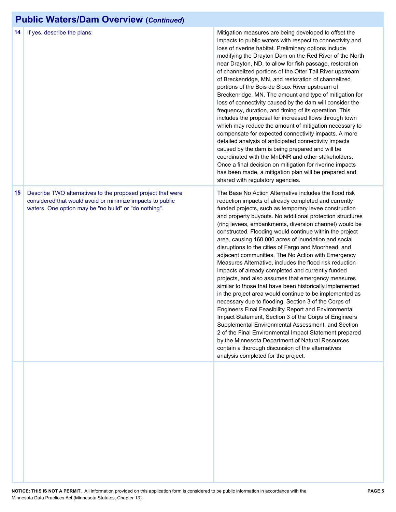# **Public Waters/Dam Overview (***Continued***)**

| 14 | If yes, describe the plans:                                                                                                                                                       | Mitigation measures are being developed to offset the<br>impacts to public waters with respect to connectivity and<br>loss of riverine habitat. Preliminary options include<br>modifying the Drayton Dam on the Red River of the North<br>near Drayton, ND, to allow for fish passage, restoration<br>of channelized portions of the Otter Tail River upstream<br>of Breckenridge, MN, and restoration of channelized<br>portions of the Bois de Sioux River upstream of<br>Breckenridge, MN. The amount and type of mitigation for<br>loss of connectivity caused by the dam will consider the<br>frequency, duration, and timing of its operation. This<br>includes the proposal for increased flows through town<br>which may reduce the amount of mitigation necessary to<br>compensate for expected connectivity impacts. A more<br>detailed analysis of anticipated connectivity impacts<br>caused by the dam is being prepared and will be<br>coordinated with the MnDNR and other stakeholders.<br>Once a final decision on mitigation for riverine impacts<br>has been made, a mitigation plan will be prepared and<br>shared with regulatory agencies.                                                                                                             |
|----|-----------------------------------------------------------------------------------------------------------------------------------------------------------------------------------|------------------------------------------------------------------------------------------------------------------------------------------------------------------------------------------------------------------------------------------------------------------------------------------------------------------------------------------------------------------------------------------------------------------------------------------------------------------------------------------------------------------------------------------------------------------------------------------------------------------------------------------------------------------------------------------------------------------------------------------------------------------------------------------------------------------------------------------------------------------------------------------------------------------------------------------------------------------------------------------------------------------------------------------------------------------------------------------------------------------------------------------------------------------------------------------------------------------------------------------------------------------------------|
| 15 | Describe TWO alternatives to the proposed project that were<br>considered that would avoid or minimize impacts to public<br>waters. One option may be "no build" or "do nothing". | The Base No Action Alternative includes the flood risk<br>reduction impacts of already completed and currently<br>funded projects, such as temporary levee construction<br>and property buyouts. No additional protection structures<br>(ring levees, embankments, diversion channel) would be<br>constructed. Flooding would continue within the project<br>area, causing 160,000 acres of inundation and social<br>disruptions to the cities of Fargo and Moorhead, and<br>adjacent communities. The No Action with Emergency<br>Measures Alternative, includes the flood risk reduction<br>impacts of already completed and currently funded<br>projects, and also assumes that emergency measures<br>similar to those that have been historically implemented<br>in the project area would continue to be implemented as<br>necessary due to flooding. Section 3 of the Corps of<br><b>Engineers Final Feasibility Report and Environmental</b><br>Impact Statement, Section 3 of the Corps of Engineers<br>Supplemental Environmental Assessment, and Section<br>2 of the Final Environmental Impact Statement prepared<br>by the Minnesota Department of Natural Resources<br>contain a thorough discussion of the alternatives<br>analysis completed for the project. |
|    |                                                                                                                                                                                   |                                                                                                                                                                                                                                                                                                                                                                                                                                                                                                                                                                                                                                                                                                                                                                                                                                                                                                                                                                                                                                                                                                                                                                                                                                                                              |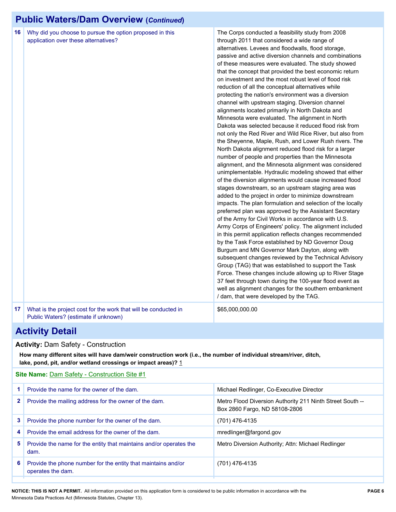# **Public Waters/Dam Overview (***Continued***)**

| 16 | Why did you choose to pursue the option proposed in this<br>application over these alternatives?        | The Corps conducted a feasibility study from 2008<br>through 2011 that considered a wide range of<br>alternatives. Levees and floodwalls, flood storage,<br>passive and active diversion channels and combinations<br>of these measures were evaluated. The study showed<br>that the concept that provided the best economic return<br>on investment and the most robust level of flood risk<br>reduction of all the conceptual alternatives while<br>protecting the nation's environment was a diversion<br>channel with upstream staging. Diversion channel<br>alignments located primarily in North Dakota and<br>Minnesota were evaluated. The alignment in North<br>Dakota was selected because it reduced flood risk from<br>not only the Red River and Wild Rice River, but also from<br>the Sheyenne, Maple, Rush, and Lower Rush rivers. The<br>North Dakota alignment reduced flood risk for a larger<br>number of people and properties than the Minnesota<br>alignment, and the Minnesota alignment was considered<br>unimplementable. Hydraulic modeling showed that either<br>of the diversion alignments would cause increased flood<br>stages downstream, so an upstream staging area was<br>added to the project in order to minimize downstream<br>impacts. The plan formulation and selection of the locally<br>preferred plan was approved by the Assistant Secretary<br>of the Army for Civil Works in accordance with U.S.<br>Army Corps of Engineers' policy. The alignment included<br>in this permit application reflects changes recommended<br>by the Task Force established by ND Governor Doug<br>Burgum and MN Governor Mark Dayton, along with<br>subsequent changes reviewed by the Technical Advisory<br>Group (TAG) that was established to support the Task<br>Force. These changes include allowing up to River Stage<br>37 feet through town during the 100-year flood event as<br>well as alignment changes for the southern embankment<br>/ dam, that were developed by the TAG. |
|----|---------------------------------------------------------------------------------------------------------|-------------------------------------------------------------------------------------------------------------------------------------------------------------------------------------------------------------------------------------------------------------------------------------------------------------------------------------------------------------------------------------------------------------------------------------------------------------------------------------------------------------------------------------------------------------------------------------------------------------------------------------------------------------------------------------------------------------------------------------------------------------------------------------------------------------------------------------------------------------------------------------------------------------------------------------------------------------------------------------------------------------------------------------------------------------------------------------------------------------------------------------------------------------------------------------------------------------------------------------------------------------------------------------------------------------------------------------------------------------------------------------------------------------------------------------------------------------------------------------------------------------------------------------------------------------------------------------------------------------------------------------------------------------------------------------------------------------------------------------------------------------------------------------------------------------------------------------------------------------------------------------------------------------------------------------------------------------------------------------------------------------------------|
| 17 | What is the project cost for the work that will be conducted in<br>Public Waters? (estimate if unknown) | \$65,000,000.00                                                                                                                                                                                                                                                                                                                                                                                                                                                                                                                                                                                                                                                                                                                                                                                                                                                                                                                                                                                                                                                                                                                                                                                                                                                                                                                                                                                                                                                                                                                                                                                                                                                                                                                                                                                                                                                                                                                                                                                                         |

## **Activity Detail**

#### **Activity:** Dam Safety - Construction

**How many different sites will have dam/weir construction work (i.e., the number of individual stream/river, ditch,**  lake, pond, pit, and/or wetland crossings or impact areas)? 1

| <b>Site Name: Dam Safety - Construction Site #1</b> |                                                                                    |                                                                                            |  |
|-----------------------------------------------------|------------------------------------------------------------------------------------|--------------------------------------------------------------------------------------------|--|
|                                                     | Provide the name for the owner of the dam.                                         | Michael Redlinger, Co-Executive Director                                                   |  |
| 2                                                   | Provide the mailing address for the owner of the dam.                              | Metro Flood Diversion Authority 211 Ninth Street South --<br>Box 2860 Fargo, ND 58108-2806 |  |
| 3.                                                  | Provide the phone number for the owner of the dam.                                 | (701) 476-4135                                                                             |  |
| 4                                                   | Provide the email address for the owner of the dam.                                | mredlinger@fargond.gov                                                                     |  |
| 5.                                                  | Provide the name for the entity that maintains and/or operates the<br>dam.         | Metro Diversion Authority; Attn: Michael Redlinger                                         |  |
| 6                                                   | Provide the phone number for the entity that maintains and/or<br>operates the dam. | (701) 476-4135                                                                             |  |
|                                                     |                                                                                    |                                                                                            |  |

**NOTICE: THIS IS NOT A PERMIT.** All information provided on this application form is considered to be public information in accordance with the **PAGE 6** Minnesota Data Practices Act (Minnesota Statutes, Chapter 13).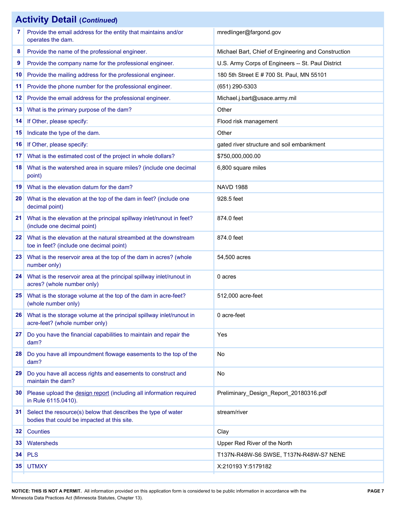|    | <b>Activity Detail (Continued)</b>                                                                           |                                                     |
|----|--------------------------------------------------------------------------------------------------------------|-----------------------------------------------------|
| 7  | Provide the email address for the entity that maintains and/or<br>operates the dam.                          | mredlinger@fargond.gov                              |
| 8  | Provide the name of the professional engineer.                                                               | Michael Bart, Chief of Engineering and Construction |
| 9  | Provide the company name for the professional engineer.                                                      | U.S. Army Corps of Engineers -- St. Paul District   |
| 10 | Provide the mailing address for the professional engineer.                                                   | 180 5th Street E # 700 St. Paul, MN 55101           |
| 11 | Provide the phone number for the professional engineer.                                                      | (651) 290-5303                                      |
| 12 | Provide the email address for the professional engineer.                                                     | Michael.j.bart@usace.army.mil                       |
| 13 | What is the primary purpose of the dam?                                                                      | Other                                               |
| 14 | If Other, please specify:                                                                                    | Flood risk management                               |
| 15 | Indicate the type of the dam.                                                                                | Other                                               |
| 16 | If Other, please specify:                                                                                    | gated river structure and soil embankment           |
| 17 | What is the estimated cost of the project in whole dollars?                                                  | \$750,000,000.00                                    |
| 18 | What is the watershed area in square miles? (include one decimal<br>point)                                   | 6,800 square miles                                  |
| 19 | What is the elevation datum for the dam?                                                                     | <b>NAVD 1988</b>                                    |
| 20 | What is the elevation at the top of the dam in feet? (include one<br>decimal point)                          | 928.5 feet                                          |
| 21 | What is the elevation at the principal spillway inlet/runout in feet?<br>(include one decimal point)         | 874.0 feet                                          |
| 22 | What is the elevation at the natural streambed at the downstream<br>toe in feet? (include one decimal point) | 874.0 feet                                          |
| 23 | What is the reservoir area at the top of the dam in acres? (whole<br>number only)                            | 54,500 acres                                        |
| 24 | What is the reservoir area at the principal spillway inlet/runout in<br>acres? (whole number only)           | 0 acres                                             |
| 25 | What is the storage volume at the top of the dam in acre-feet?<br>(whole number only)                        | 512,000 acre-feet                                   |
| 26 | What is the storage volume at the principal spillway inlet/runout in<br>acre-feet? (whole number only)       | 0 acre-feet                                         |
| 27 | Do you have the financial capabilities to maintain and repair the<br>dam?                                    | Yes                                                 |
| 28 | Do you have all impoundment flowage easements to the top of the<br>dam?                                      | No                                                  |
| 29 | Do you have all access rights and easements to construct and<br>maintain the dam?                            | No                                                  |
| 30 | Please upload the design report (including all information required<br>in Rule 6115.0410).                   | Preliminary_Design_Report_20180316.pdf              |
| 31 | Select the resource(s) below that describes the type of water<br>bodies that could be impacted at this site. | stream/river                                        |
| 32 | Counties                                                                                                     | Clay                                                |
| 33 | Watersheds                                                                                                   | Upper Red River of the North                        |
| 34 | <b>PLS</b>                                                                                                   | T137N-R48W-S6 SWSE, T137N-R48W-S7 NENE              |
| 35 | <b>UTMXY</b>                                                                                                 | X:210193 Y:5179182                                  |
|    |                                                                                                              |                                                     |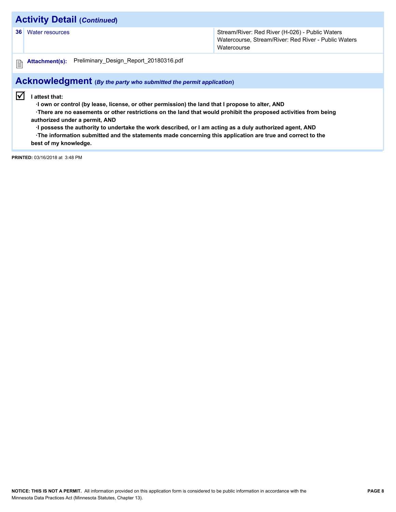## **Activity Detail (***Continued***)**

**36** Water resources **Stream/River: Red River (H-026) - Public Waters** Stream/River: Red River (H-026) - Public Waters Watercourse, Stream/River: Red River - Public Waters **Watercourse** 

圕

#### **Attachment(s):** Preliminary\_Design\_Report\_20180316.pdf

## **Acknowledgment (***By the party who submitted the permit application***)**

 $\sqrt{ }$  I attest that:

 **·I own or control (by lease, license, or other permission) the land that I propose to alter, AND**

 **·There are no easements or other restrictions on the land that would prohibit the proposed activities from being authorized under a permit, AND**

 **·I possess the authority to undertake the work described, or I am acting as a duly authorized agent, AND**

 **·The information submitted and the statements made concerning this application are true and correct to the best of my knowledge.**

**PRINTED:** 03/16/2018 at 3:48 PM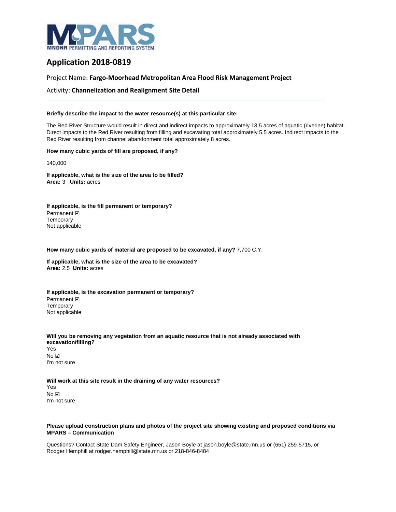

## **Application 2018-0819**

#### Project Name: **Fargo-Moorhead Metropolitan Area Flood Risk Management Project**

Activity: **Channelization and Realignment Site Detail**

#### **Briefly describe the impact to the water resource(s) at this particular site:**

The Red River Structure would result in direct and indirect impacts to approximately 13.5 acres of aquatic (riverine) habitat. Direct impacts to the Red River resulting from filling and excavating total approximately 5.5 acres. Indirect impacts to the Red River resulting from channel abandonment total approximately 8 acres.

#### **How many cubic yards of fill are proposed, if any?**

140,000

**If applicable, what is the size of the area to be filled? Area:** 3 **Units:** acres

**If applicable, is the fill permanent or temporary?** Permanent ☑ **Temporary** Not applicable

**How many cubic yards of material are proposed to be excavated, if any?** 7,700 C.Y.

**If applicable, what is the size of the area to be excavated? Area:** 2.5 **Units:** acres

**If applicable, is the excavation permanent or temporary?** Permanent ☑ **Temporary** Not applicable

**Will you be removing any vegetation from an aquatic resource that is not already associated with excavation/filling?** Yes No ☑ I'm not sure

**Will work at this site result in the draining of any water resources?** Yes No ☑ I'm not sure

#### **Please upload construction plans and photos of the project site showing existing and proposed conditions via MPARS – Communication**

Questions? Contact State Dam Safety Engineer, Jason Boyle at jason.boyle@state.mn.us or (651) 259-5715, or Rodger Hemphill at rodger.hemphill@state.mn.us or 218-846-8484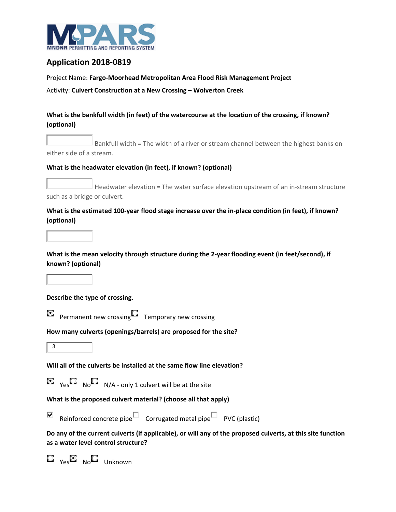

## **Application 2018‐0819**

Project Name: **Fargo‐Moorhead Metropolitan Area Flood Risk Management Project** 

Activity: **Culvert Construction at a New Crossing – Wolverton Creek** 

### **What is the bankfull width (in feet) of the watercourse at the location of the crossing, if known? (optional)**

Bankfull width = The width of a river or stream channel between the highest banks on either side of a stream.

#### **What is the headwater elevation (in feet), if known? (optional)**

Headwater elevation = The water surface elevation upstream of an in‐stream structure such as a bridge or culvert.

#### **What is the estimated 100‐year flood stage increase over the in‐place condition (in feet), if known? (optional)**

**What is the mean velocity through structure during the 2‐year flooding event (in feet/second), if known? (optional)**

### **Describe the type of crossing.**

O Permanent new crossing  $\square$  Temporary new crossing

### **How many culverts (openings/barrels) are proposed for the site?**

 $\overline{\mathbf{3}}$ 

### **Will all of the culverts be installed at the same flow line elevation?**

 $\mathbf{E}_{\text{Yes}}$  No  $\mathbf{E}_{\text{No}}$  N/A - only 1 culvert will be at the site

### **What is the proposed culvert material? (choose all that apply)**

⊽

Reinforced concrete pipe  $\square$  Corrugated metal pipe PVC (plastic)

**Do any of the current culverts (if applicable), or will any of the proposed culverts, at this site function as a water level control structure?**

 $\mathbf{E}_{\text{Yes}}\mathbf{E}_{\text{No}}\mathbf{E}_{\text{Unknown}}$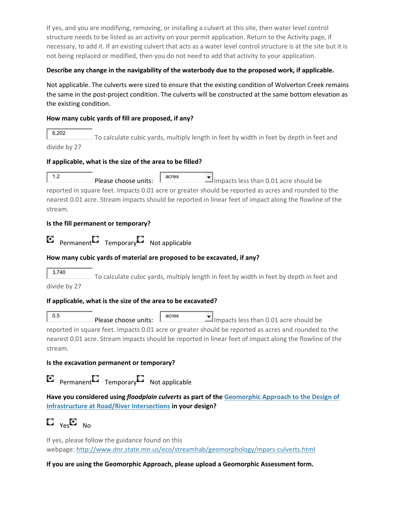If yes, and you are modifying, removing, or installing a culvert at this site, then water level control structure needs to be listed as an activity on your permit application. Return to the Activity page, if necessary, to add it. If an existing culvert that acts as a water level control structure is at the site but it is not being replaced or modified, then you do not need to add that activity to your application.

#### **Describe any change in the navigability of the waterbody due to the proposed work, if applicable.**

Not applicable. The culverts were sized to ensure that the existing condition of Wolverton Creek remains the same in the post-project condition. The culverts will be constructed at the same bottom elevation as the existing condition.

#### **How many cubic yards of fill are proposed, if any?**

6,202 To calculate cubic yards, multiply length in feet by width in feet by depth in feet and divide by 27

#### **If applicable, what is the size of the area to be filled?**

1.2 **Please choose units:**  $\begin{array}{|c|c|c|}\n\hline\n\text{arces}\n\end{array}$  Impacts less than 0.01 acre should be reported in square feet. Impacts 0.01 acre or greater should be reported as acres and rounded to the nearest 0.01 acre. Stream impacts should be reported in linear feet of impact along the flowline of the stream.

#### **Is the fill permanent or temporary?**

 $P$ ermanent Temporary Not applicable О

#### **How many cubic yards of material are proposed to be excavated, if any?**

3,740 To calculate cubic yards, multiply length in feet by width in feet by depth in feet and divide by 27

# **If applicable, what is the size of the area to be excavated?**

0.5 **Please choose units:**  $\begin{array}{|c|c|c|c|c|}\n\hline\n\text{101} & \text{112} & \text{123} & \text{134} & \text{155} & \text{166} & \text{176} & \text{176} & \text{187} & \text{188} & \text{198} & \text{198} & \text{199} & \text{199} & \text{199} & \text{199} & \text{199} & \text{199} & \text{199} & \text{199} & \text{199} & \text{1$ reported in square feet. Impacts 0.01 acre or greater should be reported as acres and rounded to the

nearest 0.01 acre. Stream impacts should be reported in linear feet of impact along the flowline of the stream.

### **Is the excavation permanent or temporary?**

 $P$ ermanent Temporary Not applicable O

**Have you considered using** *floodplain culverts* **as part of the Geomorphic Approach to the Design of Infrastructure at Road/River Intersections in your design?**

 $E_{\text{Ves}}E_{\text{Nog}}$ 

If yes, please follow the guidance found on this webpage: http://www.dnr.state.mn.us/eco/streamhab/geomorphology/mpars‐culverts.html

### **If you are using the Geomorphic Approach, please upload a Geomorphic Assessment form.**